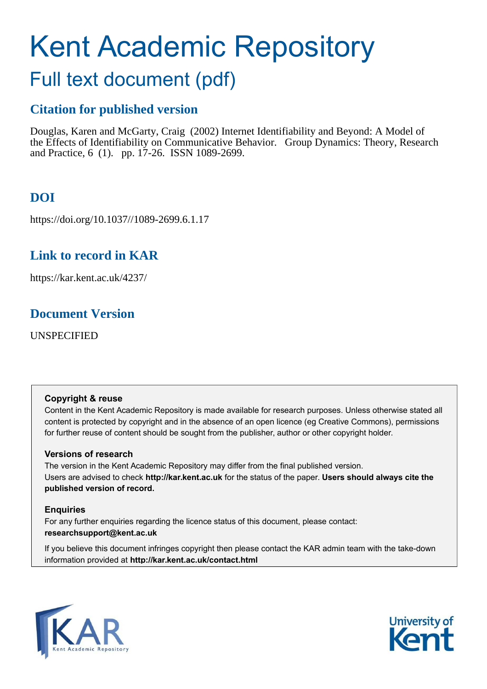# Kent Academic Repository

## Full text document (pdf)

## **Citation for published version**

Douglas, Karen and McGarty, Craig (2002) Internet Identifiability and Beyond: A Model of the Effects of Identifiability on Communicative Behavior. Group Dynamics: Theory, Research and Practice, 6 (1). pp. 17-26. ISSN 1089-2699.

## **DOI**

https://doi.org/10.1037//1089-2699.6.1.17

## **Link to record in KAR**

https://kar.kent.ac.uk/4237/

## **Document Version**

UNSPECIFIED

#### **Copyright & reuse**

Content in the Kent Academic Repository is made available for research purposes. Unless otherwise stated all content is protected by copyright and in the absence of an open licence (eg Creative Commons), permissions for further reuse of content should be sought from the publisher, author or other copyright holder.

#### **Versions of research**

The version in the Kent Academic Repository may differ from the final published version. Users are advised to check **http://kar.kent.ac.uk** for the status of the paper. **Users should always cite the published version of record.**

#### **Enquiries**

For any further enquiries regarding the licence status of this document, please contact: **researchsupport@kent.ac.uk**

If you believe this document infringes copyright then please contact the KAR admin team with the take-down information provided at **http://kar.kent.ac.uk/contact.html**



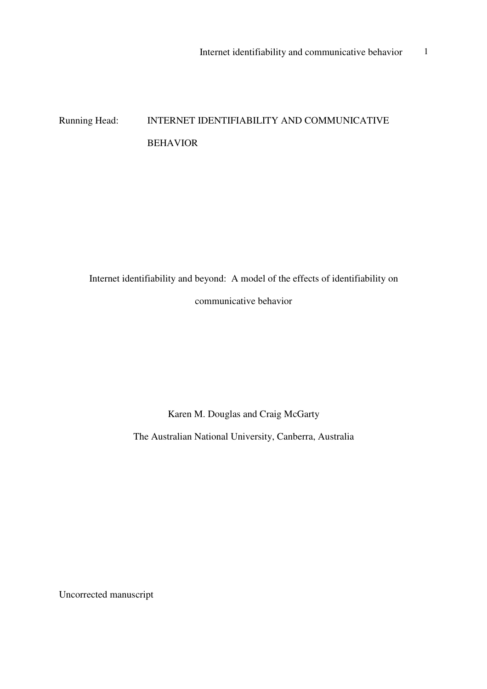## Running Head: INTERNET IDENTIFIABILITY AND COMMUNICATIVE BEHAVIOR

Internet identifiability and beyond: A model of the effects of identifiability on communicative behavior

Karen M. Douglas and Craig McGarty

The Australian National University, Canberra, Australia

Uncorrected manuscript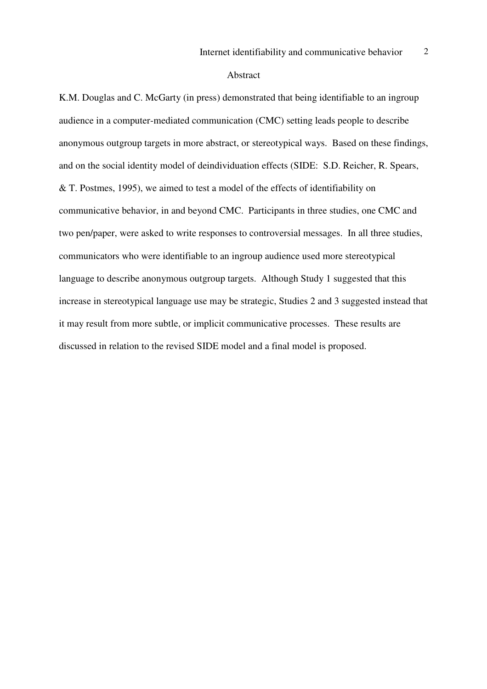#### Abstract

K.M. Douglas and C. McGarty (in press) demonstrated that being identifiable to an ingroup audience in a computer-mediated communication (CMC) setting leads people to describe anonymous outgroup targets in more abstract, or stereotypical ways. Based on these findings, and on the social identity model of deindividuation effects (SIDE: S.D. Reicher, R. Spears, & T. Postmes, 1995), we aimed to test a model of the effects of identifiability on communicative behavior, in and beyond CMC. Participants in three studies, one CMC and two pen/paper, were asked to write responses to controversial messages. In all three studies, communicators who were identifiable to an ingroup audience used more stereotypical language to describe anonymous outgroup targets. Although Study 1 suggested that this increase in stereotypical language use may be strategic, Studies 2 and 3 suggested instead that it may result from more subtle, or implicit communicative processes. These results are discussed in relation to the revised SIDE model and a final model is proposed.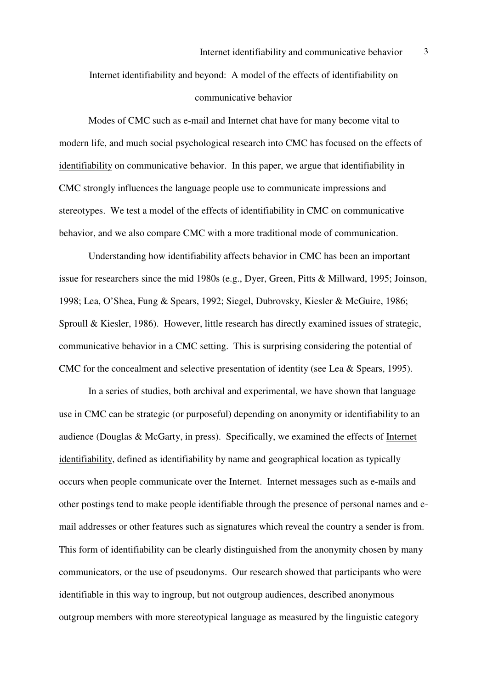Internet identifiability and beyond: A model of the effects of identifiability on communicative behavior

 Modes of CMC such as e-mail and Internet chat have for many become vital to modern life, and much social psychological research into CMC has focused on the effects of identifiability on communicative behavior. In this paper, we argue that identifiability in CMC strongly influences the language people use to communicate impressions and stereotypes. We test a model of the effects of identifiability in CMC on communicative behavior, and we also compare CMC with a more traditional mode of communication.

Understanding how identifiability affects behavior in CMC has been an important issue for researchers since the mid 1980s (e.g., Dyer, Green, Pitts & Millward, 1995; Joinson, 1998; Lea, O'Shea, Fung & Spears, 1992; Siegel, Dubrovsky, Kiesler & McGuire, 1986; Sproull & Kiesler, 1986). However, little research has directly examined issues of strategic, communicative behavior in a CMC setting. This is surprising considering the potential of CMC for the concealment and selective presentation of identity (see Lea & Spears, 1995).

In a series of studies, both archival and experimental, we have shown that language use in CMC can be strategic (or purposeful) depending on anonymity or identifiability to an audience (Douglas & McGarty, in press). Specifically, we examined the effects of Internet identifiability, defined as identifiability by name and geographical location as typically occurs when people communicate over the Internet. Internet messages such as e-mails and other postings tend to make people identifiable through the presence of personal names and email addresses or other features such as signatures which reveal the country a sender is from. This form of identifiability can be clearly distinguished from the anonymity chosen by many communicators, or the use of pseudonyms. Our research showed that participants who were identifiable in this way to ingroup, but not outgroup audiences, described anonymous outgroup members with more stereotypical language as measured by the linguistic category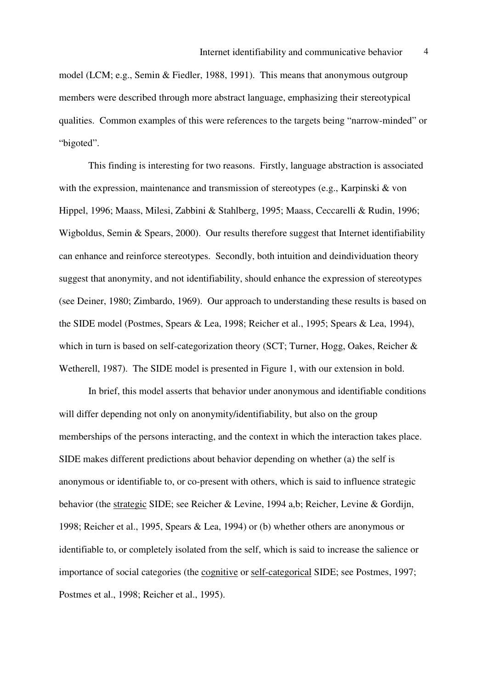model (LCM; e.g., Semin & Fiedler, 1988, 1991). This means that anonymous outgroup members were described through more abstract language, emphasizing their stereotypical qualities. Common examples of this were references to the targets being "narrow-minded" or "bigoted".

This finding is interesting for two reasons. Firstly, language abstraction is associated with the expression, maintenance and transmission of stereotypes (e.g., Karpinski & von Hippel, 1996; Maass, Milesi, Zabbini & Stahlberg, 1995; Maass, Ceccarelli & Rudin, 1996; Wigboldus, Semin & Spears, 2000). Our results therefore suggest that Internet identifiability can enhance and reinforce stereotypes. Secondly, both intuition and deindividuation theory suggest that anonymity, and not identifiability, should enhance the expression of stereotypes (see Deiner, 1980; Zimbardo, 1969). Our approach to understanding these results is based on the SIDE model (Postmes, Spears & Lea, 1998; Reicher et al., 1995; Spears & Lea, 1994), which in turn is based on self-categorization theory (SCT; Turner, Hogg, Oakes, Reicher & Wetherell, 1987). The SIDE model is presented in Figure 1, with our extension in bold.

 In brief, this model asserts that behavior under anonymous and identifiable conditions will differ depending not only on anonymity/identifiability, but also on the group memberships of the persons interacting, and the context in which the interaction takes place. SIDE makes different predictions about behavior depending on whether (a) the self is anonymous or identifiable to, or co-present with others, which is said to influence strategic behavior (the strategic SIDE; see Reicher & Levine, 1994 a,b; Reicher, Levine & Gordijn, 1998; Reicher et al., 1995, Spears & Lea, 1994) or (b) whether others are anonymous or identifiable to, or completely isolated from the self, which is said to increase the salience or importance of social categories (the cognitive or self-categorical SIDE; see Postmes, 1997; Postmes et al., 1998; Reicher et al., 1995).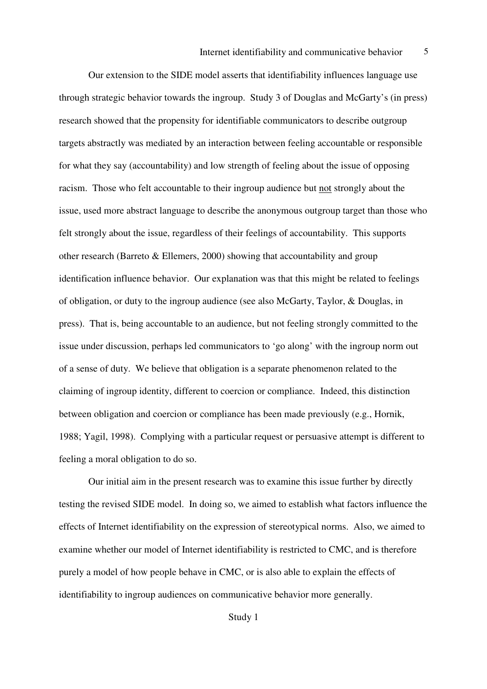Our extension to the SIDE model asserts that identifiability influences language use through strategic behavior towards the ingroup. Study 3 of Douglas and McGarty's (in press) research showed that the propensity for identifiable communicators to describe outgroup targets abstractly was mediated by an interaction between feeling accountable or responsible for what they say (accountability) and low strength of feeling about the issue of opposing racism. Those who felt accountable to their ingroup audience but not strongly about the issue, used more abstract language to describe the anonymous outgroup target than those who felt strongly about the issue, regardless of their feelings of accountability. This supports other research (Barreto & Ellemers, 2000) showing that accountability and group identification influence behavior. Our explanation was that this might be related to feelings of obligation, or duty to the ingroup audience (see also McGarty, Taylor, & Douglas, in press). That is, being accountable to an audience, but not feeling strongly committed to the issue under discussion, perhaps led communicators to 'go along' with the ingroup norm out of a sense of duty. We believe that obligation is a separate phenomenon related to the claiming of ingroup identity, different to coercion or compliance. Indeed, this distinction between obligation and coercion or compliance has been made previously (e.g., Hornik, 1988; Yagil, 1998). Complying with a particular request or persuasive attempt is different to feeling a moral obligation to do so.

Our initial aim in the present research was to examine this issue further by directly testing the revised SIDE model. In doing so, we aimed to establish what factors influence the effects of Internet identifiability on the expression of stereotypical norms. Also, we aimed to examine whether our model of Internet identifiability is restricted to CMC, and is therefore purely a model of how people behave in CMC, or is also able to explain the effects of identifiability to ingroup audiences on communicative behavior more generally.

Study 1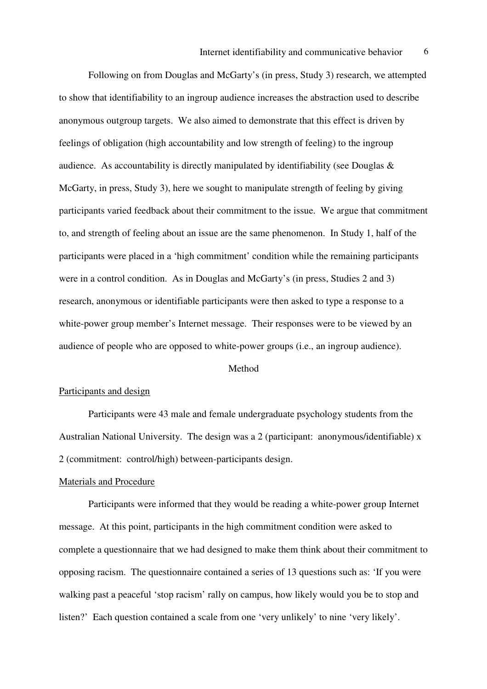Following on from Douglas and McGarty's (in press, Study 3) research, we attempted to show that identifiability to an ingroup audience increases the abstraction used to describe anonymous outgroup targets. We also aimed to demonstrate that this effect is driven by feelings of obligation (high accountability and low strength of feeling) to the ingroup audience. As accountability is directly manipulated by identifiability (see Douglas & McGarty, in press, Study 3), here we sought to manipulate strength of feeling by giving participants varied feedback about their commitment to the issue. We argue that commitment to, and strength of feeling about an issue are the same phenomenon. In Study 1, half of the participants were placed in a 'high commitment' condition while the remaining participants were in a control condition. As in Douglas and McGarty's (in press, Studies 2 and 3) research, anonymous or identifiable participants were then asked to type a response to a white-power group member's Internet message. Their responses were to be viewed by an audience of people who are opposed to white-power groups (i.e., an ingroup audience).

#### Method

#### Participants and design

Participants were 43 male and female undergraduate psychology students from the Australian National University. The design was a 2 (participant: anonymous/identifiable) x 2 (commitment: control/high) between-participants design.

#### Materials and Procedure

Participants were informed that they would be reading a white-power group Internet message. At this point, participants in the high commitment condition were asked to complete a questionnaire that we had designed to make them think about their commitment to opposing racism. The questionnaire contained a series of 13 questions such as: 'If you were walking past a peaceful 'stop racism' rally on campus, how likely would you be to stop and listen?' Each question contained a scale from one 'very unlikely' to nine 'very likely'.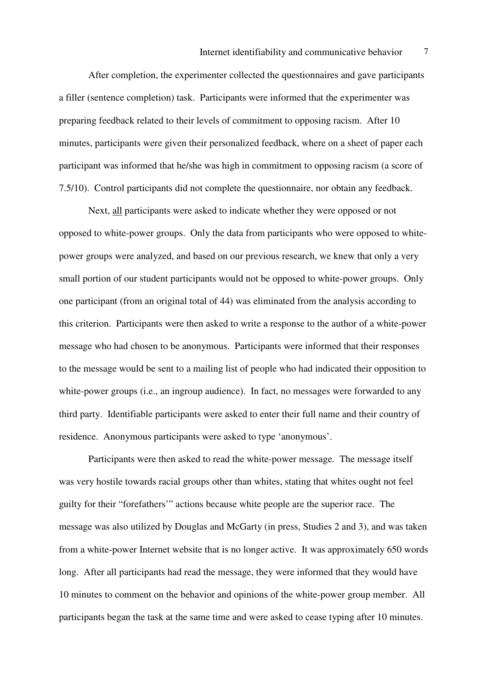After completion, the experimenter collected the questionnaires and gave participants a filler (sentence completion) task. Participants were informed that the experimenter was preparing feedback related to their levels of commitment to opposing racism. After 10 minutes, participants were given their personalized feedback, where on a sheet of paper each participant was informed that he/she was high in commitment to opposing racism (a score of 7.5/10). Control participants did not complete the questionnaire, nor obtain any feedback.

Next, all participants were asked to indicate whether they were opposed or not opposed to white-power groups. Only the data from participants who were opposed to whitepower groups were analyzed, and based on our previous research, we knew that only a very small portion of our student participants would not be opposed to white-power groups. Only one participant (from an original total of 44) was eliminated from the analysis according to this criterion. Participants were then asked to write a response to the author of a white-power message who had chosen to be anonymous. Participants were informed that their responses to the message would be sent to a mailing list of people who had indicated their opposition to white-power groups (i.e., an ingroup audience). In fact, no messages were forwarded to any third party. Identifiable participants were asked to enter their full name and their country of residence. Anonymous participants were asked to type 'anonymous'.

Participants were then asked to read the white-power message. The message itself was very hostile towards racial groups other than whites, stating that whites ought not feel guilty for their "forefathers'" actions because white people are the superior race. The message was also utilized by Douglas and McGarty (in press, Studies 2 and 3), and was taken from a white-power Internet website that is no longer active. It was approximately 650 words long. After all participants had read the message, they were informed that they would have 10 minutes to comment on the behavior and opinions of the white-power group member. All participants began the task at the same time and were asked to cease typing after 10 minutes.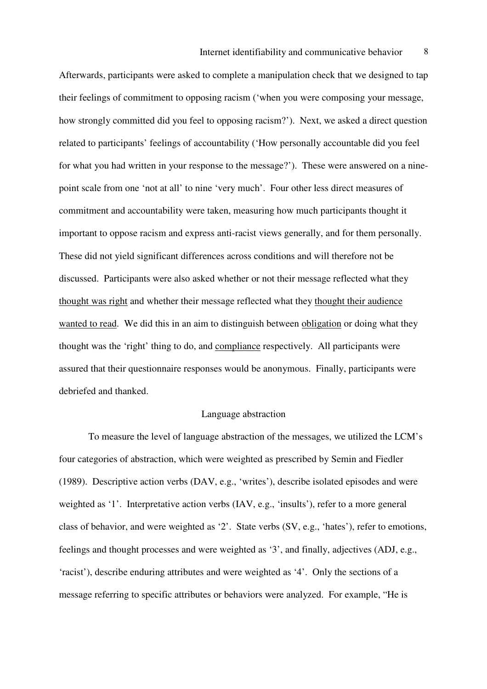Afterwards, participants were asked to complete a manipulation check that we designed to tap their feelings of commitment to opposing racism ('when you were composing your message, how strongly committed did you feel to opposing racism?'). Next, we asked a direct question related to participants' feelings of accountability ('How personally accountable did you feel for what you had written in your response to the message?'). These were answered on a ninepoint scale from one 'not at all' to nine 'very much'. Four other less direct measures of commitment and accountability were taken, measuring how much participants thought it important to oppose racism and express anti-racist views generally, and for them personally. These did not yield significant differences across conditions and will therefore not be discussed. Participants were also asked whether or not their message reflected what they thought was right and whether their message reflected what they thought their audience wanted to read. We did this in an aim to distinguish between obligation or doing what they thought was the 'right' thing to do, and compliance respectively. All participants were assured that their questionnaire responses would be anonymous. Finally, participants were debriefed and thanked.

#### Language abstraction

 To measure the level of language abstraction of the messages, we utilized the LCM's four categories of abstraction, which were weighted as prescribed by Semin and Fiedler (1989). Descriptive action verbs (DAV, e.g., 'writes'), describe isolated episodes and were weighted as '1'. Interpretative action verbs (IAV, e.g., 'insults'), refer to a more general class of behavior, and were weighted as '2'. State verbs (SV, e.g., 'hates'), refer to emotions, feelings and thought processes and were weighted as '3', and finally, adjectives (ADJ, e.g., 'racist'), describe enduring attributes and were weighted as '4'. Only the sections of a message referring to specific attributes or behaviors were analyzed. For example, "He is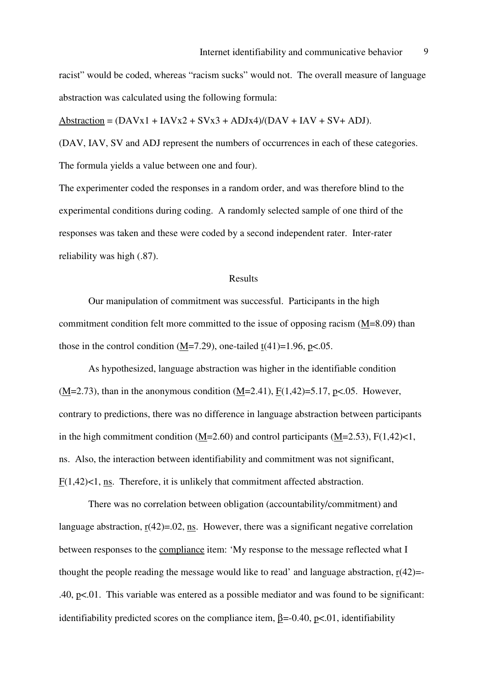racist" would be coded, whereas "racism sucks" would not. The overall measure of language abstraction was calculated using the following formula:

Abstraction =  $(DAVx1 + IAVx2 + SVx3 + ADJx4)/(DAV + IAV + SV + ADJ).$ 

(DAV, IAV, SV and ADJ represent the numbers of occurrences in each of these categories. The formula yields a value between one and four).

The experimenter coded the responses in a random order, and was therefore blind to the experimental conditions during coding. A randomly selected sample of one third of the responses was taken and these were coded by a second independent rater. Inter-rater reliability was high (.87).

#### Results

 Our manipulation of commitment was successful. Participants in the high commitment condition felt more committed to the issue of opposing racism (M=8.09) than those in the control condition  $(M=7.29)$ , one-tailed  $t(41)=1.96$ , p<.05.

As hypothesized, language abstraction was higher in the identifiable condition  $(M=2.73)$ , than in the anonymous condition  $(M=2.41)$ ,  $F(1,42)=5.17$ ,  $p<.05$ . However, contrary to predictions, there was no difference in language abstraction between participants in the high commitment condition (M=2.60) and control participants (M=2.53),  $F(1,42) < 1$ , ns. Also, the interaction between identifiability and commitment was not significant, F(1,42)<1, ns. Therefore, it is unlikely that commitment affected abstraction.

 There was no correlation between obligation (accountability/commitment) and language abstraction,  $r(42)=0.02$ , ns. However, there was a significant negative correlation between responses to the compliance item: 'My response to the message reflected what I thought the people reading the message would like to read' and language abstraction,  $r(42)$ = .40, p<.01. This variable was entered as a possible mediator and was found to be significant: identifiability predicted scores on the compliance item,  $\beta = -0.40$ , p<.01, identifiability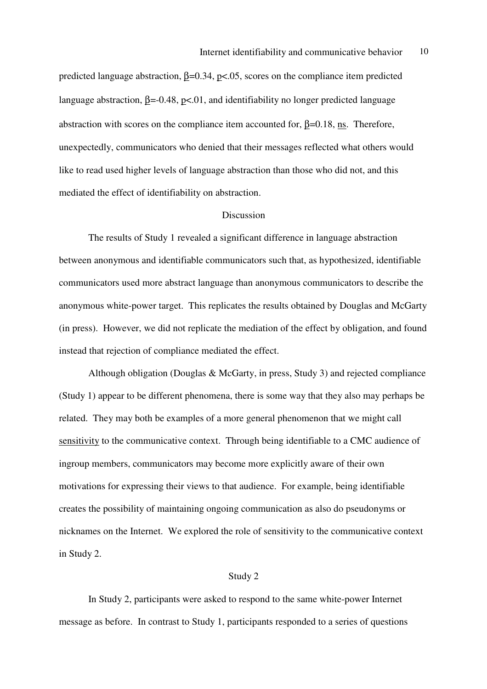predicted language abstraction,  $β=0.34$ ,  $p<.05$ , scores on the compliance item predicted language abstraction,  $\beta = 0.48$ , p<.01, and identifiability no longer predicted language abstraction with scores on the compliance item accounted for,  $\underline{\beta}$ =0.18, <u>ns</u>. Therefore, unexpectedly, communicators who denied that their messages reflected what others would like to read used higher levels of language abstraction than those who did not, and this mediated the effect of identifiability on abstraction.

#### Discussion

 The results of Study 1 revealed a significant difference in language abstraction between anonymous and identifiable communicators such that, as hypothesized, identifiable communicators used more abstract language than anonymous communicators to describe the anonymous white-power target. This replicates the results obtained by Douglas and McGarty (in press). However, we did not replicate the mediation of the effect by obligation, and found instead that rejection of compliance mediated the effect.

 Although obligation (Douglas & McGarty, in press, Study 3) and rejected compliance (Study 1) appear to be different phenomena, there is some way that they also may perhaps be related. They may both be examples of a more general phenomenon that we might call sensitivity to the communicative context. Through being identifiable to a CMC audience of ingroup members, communicators may become more explicitly aware of their own motivations for expressing their views to that audience. For example, being identifiable creates the possibility of maintaining ongoing communication as also do pseudonyms or nicknames on the Internet. We explored the role of sensitivity to the communicative context in Study 2.

#### Study 2

 In Study 2, participants were asked to respond to the same white-power Internet message as before. In contrast to Study 1, participants responded to a series of questions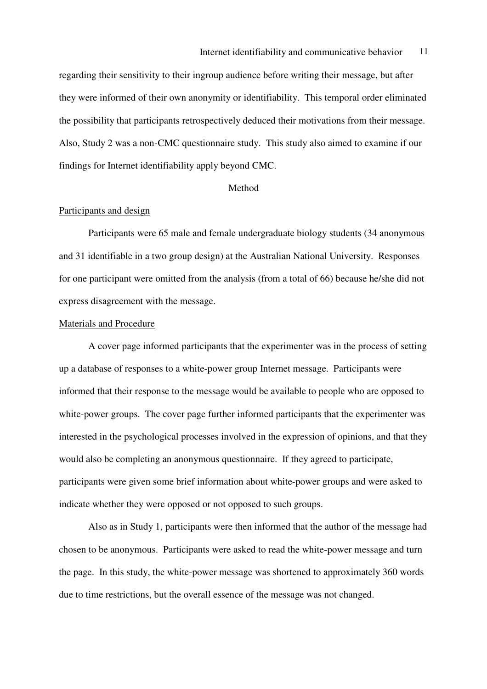regarding their sensitivity to their ingroup audience before writing their message, but after they were informed of their own anonymity or identifiability. This temporal order eliminated the possibility that participants retrospectively deduced their motivations from their message. Also, Study 2 was a non-CMC questionnaire study. This study also aimed to examine if our findings for Internet identifiability apply beyond CMC.

#### Method

#### Participants and design

 Participants were 65 male and female undergraduate biology students (34 anonymous and 31 identifiable in a two group design) at the Australian National University. Responses for one participant were omitted from the analysis (from a total of 66) because he/she did not express disagreement with the message.

#### Materials and Procedure

 A cover page informed participants that the experimenter was in the process of setting up a database of responses to a white-power group Internet message. Participants were informed that their response to the message would be available to people who are opposed to white-power groups. The cover page further informed participants that the experimenter was interested in the psychological processes involved in the expression of opinions, and that they would also be completing an anonymous questionnaire. If they agreed to participate, participants were given some brief information about white-power groups and were asked to indicate whether they were opposed or not opposed to such groups.

 Also as in Study 1, participants were then informed that the author of the message had chosen to be anonymous. Participants were asked to read the white-power message and turn the page. In this study, the white-power message was shortened to approximately 360 words due to time restrictions, but the overall essence of the message was not changed.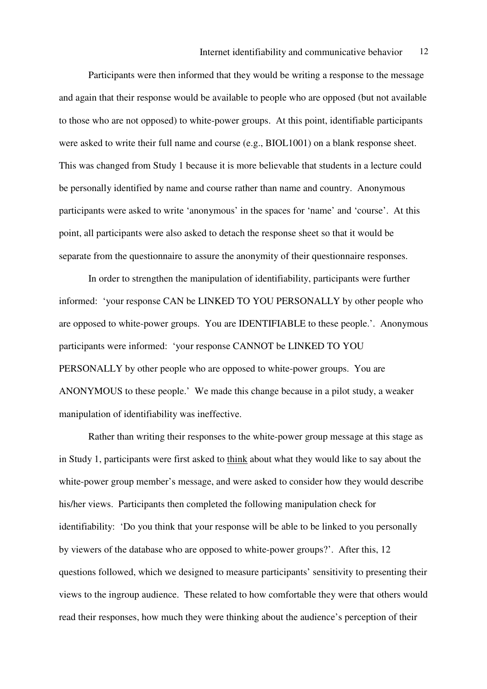Participants were then informed that they would be writing a response to the message and again that their response would be available to people who are opposed (but not available to those who are not opposed) to white-power groups. At this point, identifiable participants were asked to write their full name and course (e.g., BIOL1001) on a blank response sheet. This was changed from Study 1 because it is more believable that students in a lecture could be personally identified by name and course rather than name and country. Anonymous participants were asked to write 'anonymous' in the spaces for 'name' and 'course'. At this point, all participants were also asked to detach the response sheet so that it would be separate from the questionnaire to assure the anonymity of their questionnaire responses.

 In order to strengthen the manipulation of identifiability, participants were further informed: 'your response CAN be LINKED TO YOU PERSONALLY by other people who are opposed to white-power groups. You are IDENTIFIABLE to these people.'. Anonymous participants were informed: 'your response CANNOT be LINKED TO YOU PERSONALLY by other people who are opposed to white-power groups. You are ANONYMOUS to these people.' We made this change because in a pilot study, a weaker manipulation of identifiability was ineffective.

 Rather than writing their responses to the white-power group message at this stage as in Study 1, participants were first asked to think about what they would like to say about the white-power group member's message, and were asked to consider how they would describe his/her views. Participants then completed the following manipulation check for identifiability: 'Do you think that your response will be able to be linked to you personally by viewers of the database who are opposed to white-power groups?'. After this, 12 questions followed, which we designed to measure participants' sensitivity to presenting their views to the ingroup audience. These related to how comfortable they were that others would read their responses, how much they were thinking about the audience's perception of their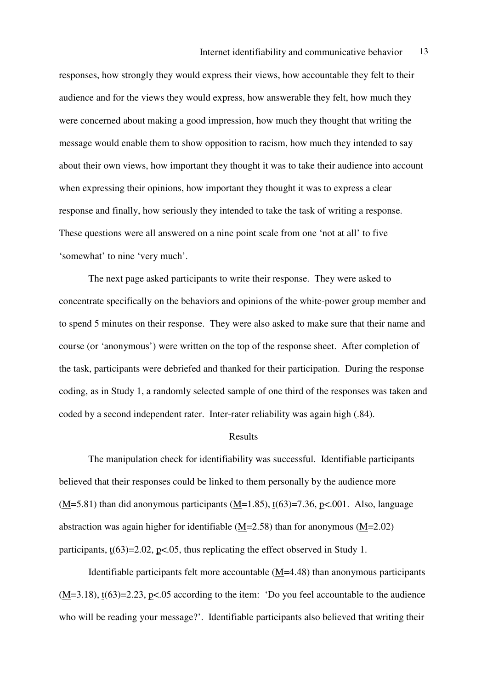responses, how strongly they would express their views, how accountable they felt to their audience and for the views they would express, how answerable they felt, how much they were concerned about making a good impression, how much they thought that writing the message would enable them to show opposition to racism, how much they intended to say about their own views, how important they thought it was to take their audience into account when expressing their opinions, how important they thought it was to express a clear response and finally, how seriously they intended to take the task of writing a response. These questions were all answered on a nine point scale from one 'not at all' to five 'somewhat' to nine 'very much'.

The next page asked participants to write their response. They were asked to concentrate specifically on the behaviors and opinions of the white-power group member and to spend 5 minutes on their response. They were also asked to make sure that their name and course (or 'anonymous') were written on the top of the response sheet. After completion of the task, participants were debriefed and thanked for their participation. During the response coding, as in Study 1, a randomly selected sample of one third of the responses was taken and coded by a second independent rater. Inter-rater reliability was again high (.84).

#### Results

 The manipulation check for identifiability was successful. Identifiable participants believed that their responses could be linked to them personally by the audience more  $(\underline{M}$ =5.81) than did anonymous participants ( $\underline{M}$ =1.85), t(63)=7.36, p<.001. Also, language abstraction was again higher for identifiable (M=2.58) than for anonymous (M=2.02) participants,  $t(63)=2.02$ ,  $p<.05$ , thus replicating the effect observed in Study 1.

 Identifiable participants felt more accountable (M=4.48) than anonymous participants  $(M=3.18)$ ,  $t(63)=2.23$ ,  $p<.05$  according to the item: 'Do you feel accountable to the audience who will be reading your message?'. Identifiable participants also believed that writing their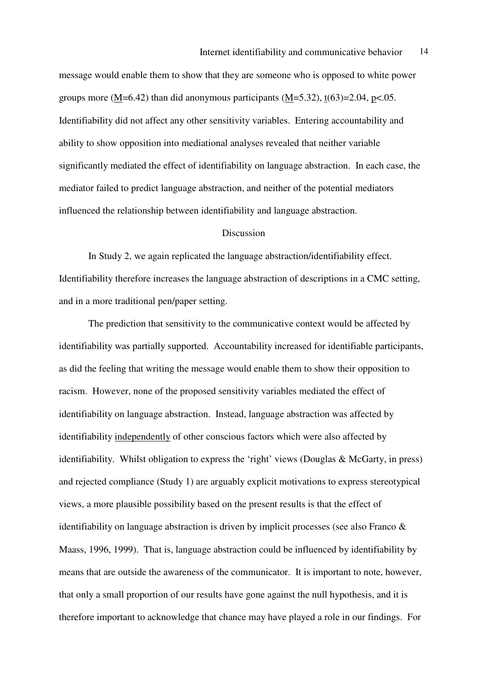message would enable them to show that they are someone who is opposed to white power groups more (M=6.42) than did anonymous participants (M=5.32),  $t(63)=2.04$ ,  $p<.05$ . Identifiability did not affect any other sensitivity variables. Entering accountability and ability to show opposition into mediational analyses revealed that neither variable significantly mediated the effect of identifiability on language abstraction. In each case, the mediator failed to predict language abstraction, and neither of the potential mediators influenced the relationship between identifiability and language abstraction.

#### Discussion

 In Study 2, we again replicated the language abstraction/identifiability effect. Identifiability therefore increases the language abstraction of descriptions in a CMC setting, and in a more traditional pen/paper setting.

 The prediction that sensitivity to the communicative context would be affected by identifiability was partially supported. Accountability increased for identifiable participants, as did the feeling that writing the message would enable them to show their opposition to racism. However, none of the proposed sensitivity variables mediated the effect of identifiability on language abstraction. Instead, language abstraction was affected by identifiability independently of other conscious factors which were also affected by identifiability. Whilst obligation to express the 'right' views (Douglas & McGarty, in press) and rejected compliance (Study 1) are arguably explicit motivations to express stereotypical views, a more plausible possibility based on the present results is that the effect of identifiability on language abstraction is driven by implicit processes (see also Franco & Maass, 1996, 1999). That is, language abstraction could be influenced by identifiability by means that are outside the awareness of the communicator. It is important to note, however, that only a small proportion of our results have gone against the null hypothesis, and it is therefore important to acknowledge that chance may have played a role in our findings. For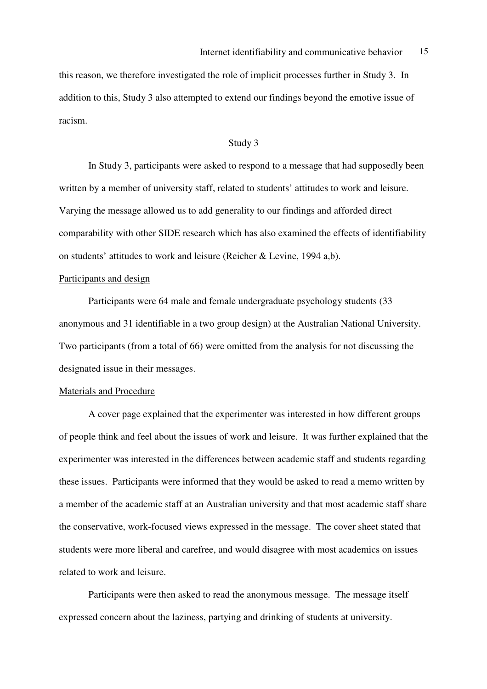this reason, we therefore investigated the role of implicit processes further in Study 3. In addition to this, Study 3 also attempted to extend our findings beyond the emotive issue of racism.

#### Study 3

 In Study 3, participants were asked to respond to a message that had supposedly been written by a member of university staff, related to students' attitudes to work and leisure. Varying the message allowed us to add generality to our findings and afforded direct comparability with other SIDE research which has also examined the effects of identifiability on students' attitudes to work and leisure (Reicher & Levine, 1994 a,b).

#### Participants and design

 Participants were 64 male and female undergraduate psychology students (33 anonymous and 31 identifiable in a two group design) at the Australian National University. Two participants (from a total of 66) were omitted from the analysis for not discussing the designated issue in their messages.

#### Materials and Procedure

 A cover page explained that the experimenter was interested in how different groups of people think and feel about the issues of work and leisure. It was further explained that the experimenter was interested in the differences between academic staff and students regarding these issues. Participants were informed that they would be asked to read a memo written by a member of the academic staff at an Australian university and that most academic staff share the conservative, work-focused views expressed in the message. The cover sheet stated that students were more liberal and carefree, and would disagree with most academics on issues related to work and leisure.

 Participants were then asked to read the anonymous message. The message itself expressed concern about the laziness, partying and drinking of students at university.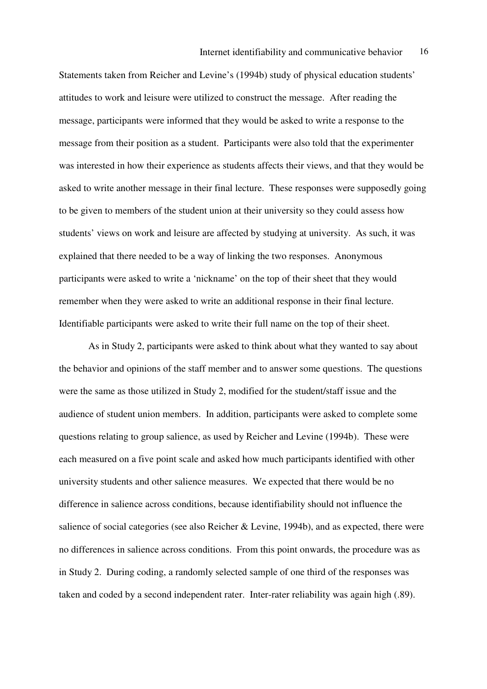Statements taken from Reicher and Levine's (1994b) study of physical education students' attitudes to work and leisure were utilized to construct the message. After reading the message, participants were informed that they would be asked to write a response to the message from their position as a student. Participants were also told that the experimenter was interested in how their experience as students affects their views, and that they would be asked to write another message in their final lecture. These responses were supposedly going to be given to members of the student union at their university so they could assess how students' views on work and leisure are affected by studying at university. As such, it was explained that there needed to be a way of linking the two responses. Anonymous participants were asked to write a 'nickname' on the top of their sheet that they would remember when they were asked to write an additional response in their final lecture. Identifiable participants were asked to write their full name on the top of their sheet.

As in Study 2, participants were asked to think about what they wanted to say about the behavior and opinions of the staff member and to answer some questions. The questions were the same as those utilized in Study 2, modified for the student/staff issue and the audience of student union members. In addition, participants were asked to complete some questions relating to group salience, as used by Reicher and Levine (1994b). These were each measured on a five point scale and asked how much participants identified with other university students and other salience measures. We expected that there would be no difference in salience across conditions, because identifiability should not influence the salience of social categories (see also Reicher & Levine, 1994b), and as expected, there were no differences in salience across conditions. From this point onwards, the procedure was as in Study 2. During coding, a randomly selected sample of one third of the responses was taken and coded by a second independent rater. Inter-rater reliability was again high (.89).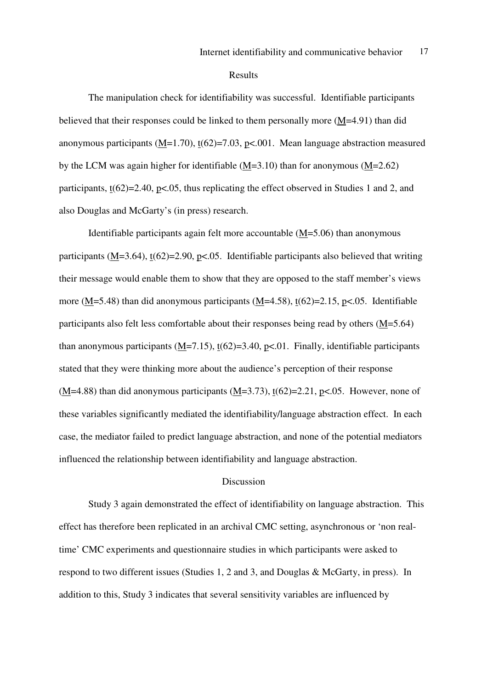#### Results

 The manipulation check for identifiability was successful. Identifiable participants believed that their responses could be linked to them personally more (M=4.91) than did anonymous participants  $(M=1.70)$ ,  $t(62)=7.03$ ,  $p<.001$ . Mean language abstraction measured by the LCM was again higher for identifiable (M=3.10) than for anonymous (M=2.62) participants,  $t(62)=2.40$ ,  $p<0.05$ , thus replicating the effect observed in Studies 1 and 2, and also Douglas and McGarty's (in press) research.

Identifiable participants again felt more accountable  $(M=5.06)$  than anonymous participants (M=3.64),  $t(62)=2.90$ ,  $p<0.05$ . Identifiable participants also believed that writing their message would enable them to show that they are opposed to the staff member's views more (M=5.48) than did anonymous participants (M=4.58),  $t(62)=2.15$ ,  $p<0.05$ . Identifiable participants also felt less comfortable about their responses being read by others (M=5.64) than anonymous participants  $(M=7.15)$ ,  $t(62)=3.40$ ,  $p<01$ . Finally, identifiable participants stated that they were thinking more about the audience's perception of their response  $(M=4.88)$  than did anonymous participants  $(M=3.73)$ ,  $t(62)=2.21$ ,  $p<.05$ . However, none of these variables significantly mediated the identifiability/language abstraction effect. In each case, the mediator failed to predict language abstraction, and none of the potential mediators influenced the relationship between identifiability and language abstraction.

#### Discussion

 Study 3 again demonstrated the effect of identifiability on language abstraction. This effect has therefore been replicated in an archival CMC setting, asynchronous or 'non realtime' CMC experiments and questionnaire studies in which participants were asked to respond to two different issues (Studies 1, 2 and 3, and Douglas & McGarty, in press). In addition to this, Study 3 indicates that several sensitivity variables are influenced by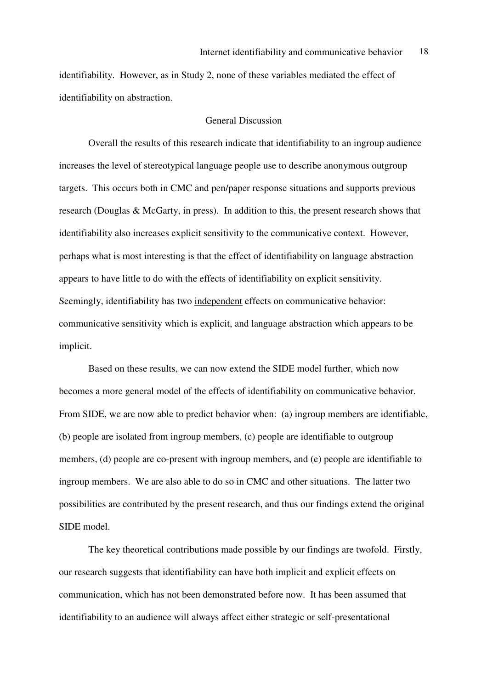identifiability. However, as in Study 2, none of these variables mediated the effect of identifiability on abstraction.

#### General Discussion

 Overall the results of this research indicate that identifiability to an ingroup audience increases the level of stereotypical language people use to describe anonymous outgroup targets. This occurs both in CMC and pen/paper response situations and supports previous research (Douglas & McGarty, in press). In addition to this, the present research shows that identifiability also increases explicit sensitivity to the communicative context. However, perhaps what is most interesting is that the effect of identifiability on language abstraction appears to have little to do with the effects of identifiability on explicit sensitivity. Seemingly, identifiability has two independent effects on communicative behavior: communicative sensitivity which is explicit, and language abstraction which appears to be implicit.

 Based on these results, we can now extend the SIDE model further, which now becomes a more general model of the effects of identifiability on communicative behavior. From SIDE, we are now able to predict behavior when: (a) ingroup members are identifiable, (b) people are isolated from ingroup members, (c) people are identifiable to outgroup members, (d) people are co-present with ingroup members, and (e) people are identifiable to ingroup members. We are also able to do so in CMC and other situations. The latter two possibilities are contributed by the present research, and thus our findings extend the original SIDE model.

 The key theoretical contributions made possible by our findings are twofold. Firstly, our research suggests that identifiability can have both implicit and explicit effects on communication, which has not been demonstrated before now. It has been assumed that identifiability to an audience will always affect either strategic or self-presentational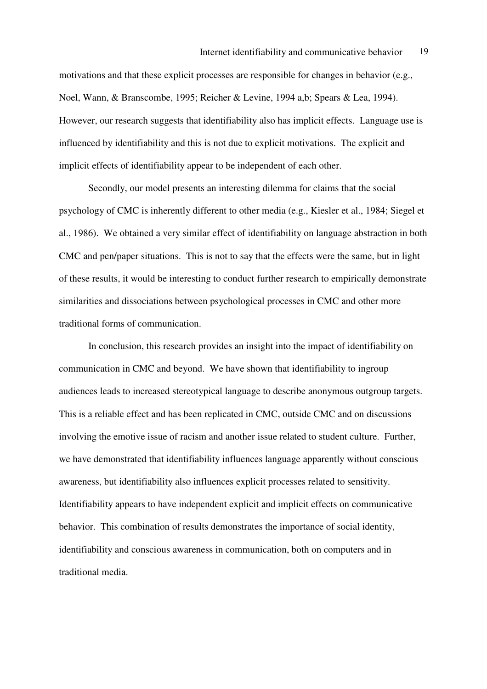motivations and that these explicit processes are responsible for changes in behavior (e.g., Noel, Wann, & Branscombe, 1995; Reicher & Levine, 1994 a,b; Spears & Lea, 1994). However, our research suggests that identifiability also has implicit effects. Language use is influenced by identifiability and this is not due to explicit motivations. The explicit and implicit effects of identifiability appear to be independent of each other.

 Secondly, our model presents an interesting dilemma for claims that the social psychology of CMC is inherently different to other media (e.g., Kiesler et al., 1984; Siegel et al., 1986). We obtained a very similar effect of identifiability on language abstraction in both CMC and pen/paper situations. This is not to say that the effects were the same, but in light of these results, it would be interesting to conduct further research to empirically demonstrate similarities and dissociations between psychological processes in CMC and other more traditional forms of communication.

 In conclusion, this research provides an insight into the impact of identifiability on communication in CMC and beyond. We have shown that identifiability to ingroup audiences leads to increased stereotypical language to describe anonymous outgroup targets. This is a reliable effect and has been replicated in CMC, outside CMC and on discussions involving the emotive issue of racism and another issue related to student culture. Further, we have demonstrated that identifiability influences language apparently without conscious awareness, but identifiability also influences explicit processes related to sensitivity. Identifiability appears to have independent explicit and implicit effects on communicative behavior. This combination of results demonstrates the importance of social identity, identifiability and conscious awareness in communication, both on computers and in traditional media.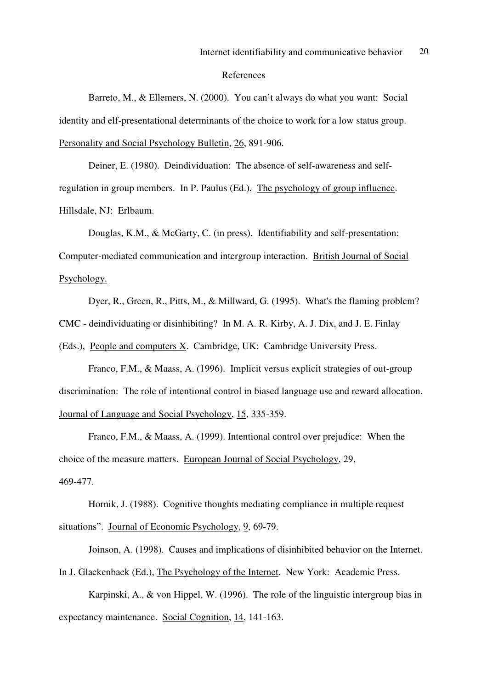#### References

Barreto, M., & Ellemers, N. (2000). You can't always do what you want: Social identity and elf-presentational determinants of the choice to work for a low status group. Personality and Social Psychology Bulletin, 26, 891-906.

Deiner, E. (1980). Deindividuation: The absence of self-awareness and selfregulation in group members. In P. Paulus (Ed.), The psychology of group influence. Hillsdale, NJ: Erlbaum.

Douglas, K.M., & McGarty, C. (in press). Identifiability and self-presentation: Computer-mediated communication and intergroup interaction. British Journal of Social Psychology.

Dyer, R., Green, R., Pitts, M., & Millward, G. (1995). What's the flaming problem?

CMC - deindividuating or disinhibiting? In M. A. R. Kirby, A. J. Dix, and J. E. Finlay

(Eds.), People and computers X. Cambridge, UK: Cambridge University Press.

Franco, F.M., & Maass, A. (1996). Implicit versus explicit strategies of out-group discrimination: The role of intentional control in biased language use and reward allocation. Journal of Language and Social Psychology, 15, 335-359.

Franco, F.M., & Maass, A. (1999). Intentional control over prejudice: When the choice of the measure matters. European Journal of Social Psychology, 29, 469-477.

 Hornik, J. (1988). Cognitive thoughts mediating compliance in multiple request situations". Journal of Economic Psychology, 9, 69-79.

Joinson, A. (1998). Causes and implications of disinhibited behavior on the Internet. In J. Glackenback (Ed.), The Psychology of the Internet. New York: Academic Press.

Karpinski, A., & von Hippel, W. (1996). The role of the linguistic intergroup bias in expectancy maintenance. Social Cognition, 14, 141-163.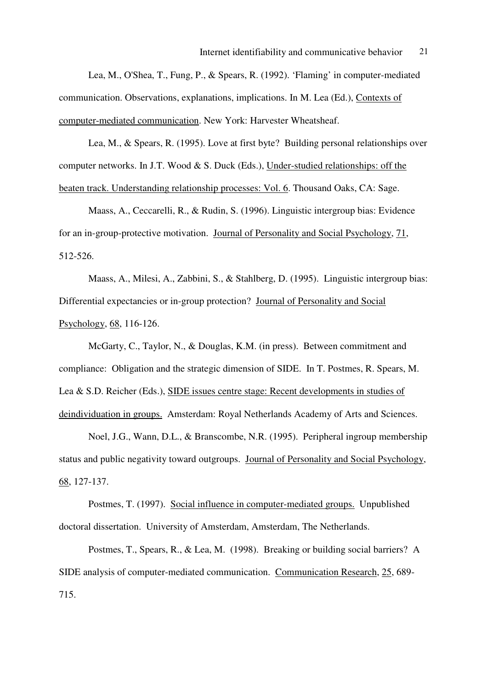Lea, M., O'Shea, T., Fung, P., & Spears, R. (1992). 'Flaming' in computer-mediated communication. Observations, explanations, implications. In M. Lea (Ed.), Contexts of computer-mediated communication. New York: Harvester Wheatsheaf.

Lea, M., & Spears, R. (1995). Love at first byte? Building personal relationships over computer networks. In J.T. Wood & S. Duck (Eds.), Under-studied relationships: off the beaten track. Understanding relationship processes: Vol. 6. Thousand Oaks, CA: Sage.

Maass, A., Ceccarelli, R., & Rudin, S. (1996). Linguistic intergroup bias: Evidence for an in-group-protective motivation. Journal of Personality and Social Psychology, 71, 512-526.

Maass, A., Milesi, A., Zabbini, S., & Stahlberg, D. (1995). Linguistic intergroup bias: Differential expectancies or in-group protection? Journal of Personality and Social Psychology, 68, 116-126.

McGarty, C., Taylor, N., & Douglas, K.M. (in press). Between commitment and compliance: Obligation and the strategic dimension of SIDE. In T. Postmes, R. Spears, M. Lea & S.D. Reicher (Eds.), SIDE issues centre stage: Recent developments in studies of deindividuation in groups. Amsterdam: Royal Netherlands Academy of Arts and Sciences.

Noel, J.G., Wann, D.L., & Branscombe, N.R. (1995). Peripheral ingroup membership status and public negativity toward outgroups. Journal of Personality and Social Psychology, 68, 127-137.

Postmes, T. (1997). Social influence in computer-mediated groups. Unpublished doctoral dissertation. University of Amsterdam, Amsterdam, The Netherlands.

Postmes, T., Spears, R., & Lea, M. (1998). Breaking or building social barriers? A SIDE analysis of computer-mediated communication. Communication Research, 25, 689- 715.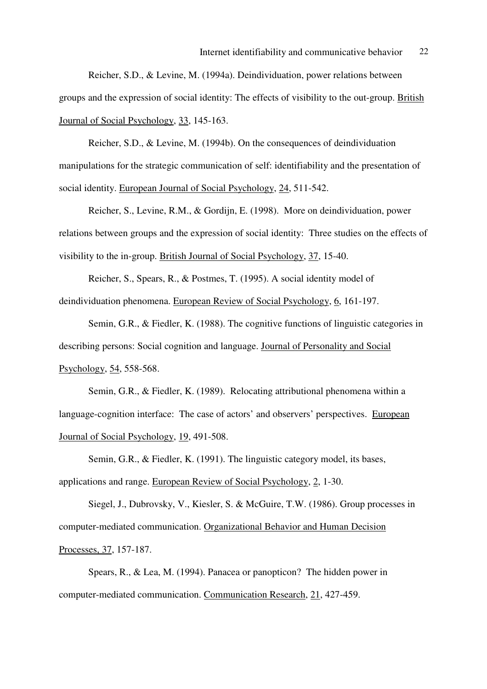Reicher, S.D., & Levine, M. (1994a). Deindividuation, power relations between groups and the expression of social identity: The effects of visibility to the out-group. British Journal of Social Psychology, 33, 145-163.

 Reicher, S.D., & Levine, M. (1994b). On the consequences of deindividuation manipulations for the strategic communication of self: identifiability and the presentation of social identity. European Journal of Social Psychology, 24, 511-542.

Reicher, S., Levine, R.M., & Gordijn, E. (1998). More on deindividuation, power relations between groups and the expression of social identity: Three studies on the effects of visibility to the in-group. British Journal of Social Psychology, 37, 15-40.

Reicher, S., Spears, R., & Postmes, T. (1995). A social identity model of deindividuation phenomena. European Review of Social Psychology, 6, 161-197.

Semin, G.R., & Fiedler, K. (1988). The cognitive functions of linguistic categories in describing persons: Social cognition and language. Journal of Personality and Social Psychology, 54, 558-568.

 Semin, G.R., & Fiedler, K. (1989). Relocating attributional phenomena within a language-cognition interface: The case of actors' and observers' perspectives. European Journal of Social Psychology, 19, 491-508.

 Semin, G.R., & Fiedler, K. (1991). The linguistic category model, its bases, applications and range. European Review of Social Psychology, 2, 1-30.

Siegel, J., Dubrovsky, V., Kiesler, S. & McGuire, T.W. (1986). Group processes in computer-mediated communication. Organizational Behavior and Human Decision Processes, 37, 157-187.

Spears, R., & Lea, M. (1994). Panacea or panopticon? The hidden power in computer-mediated communication. Communication Research, 21, 427-459.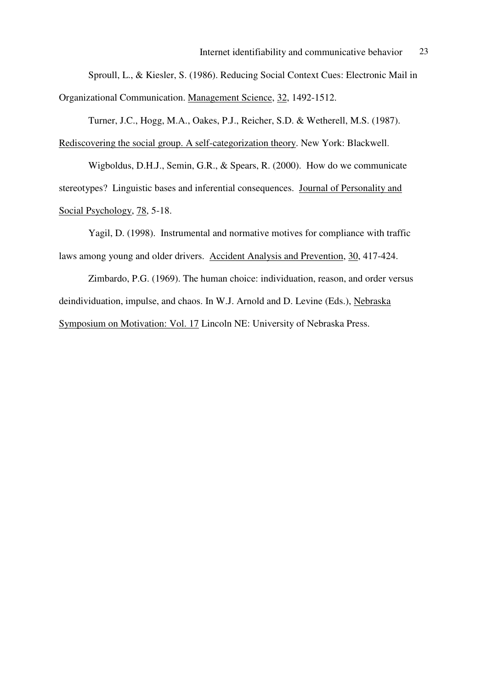Sproull, L., & Kiesler, S. (1986). Reducing Social Context Cues: Electronic Mail in Organizational Communication. Management Science, 32, 1492-1512.

Turner, J.C., Hogg, M.A., Oakes, P.J., Reicher, S.D. & Wetherell, M.S. (1987). Rediscovering the social group. A self-categorization theory. New York: Blackwell.

Wigboldus, D.H.J., Semin, G.R., & Spears, R. (2000). How do we communicate stereotypes? Linguistic bases and inferential consequences. Journal of Personality and Social Psychology, 78, 5-18.

Yagil, D. (1998). Instrumental and normative motives for compliance with traffic laws among young and older drivers. Accident Analysis and Prevention, 30, 417-424.

Zimbardo, P.G. (1969). The human choice: individuation, reason, and order versus deindividuation, impulse, and chaos. In W.J. Arnold and D. Levine (Eds.), Nebraska Symposium on Motivation: Vol. 17 Lincoln NE: University of Nebraska Press.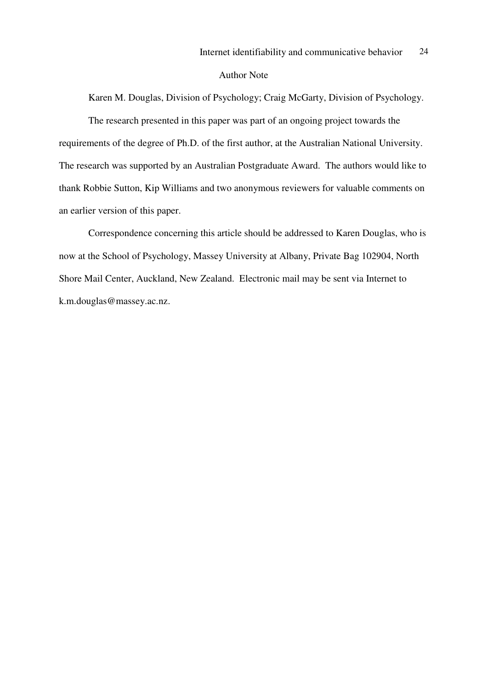#### Author Note

Karen M. Douglas, Division of Psychology; Craig McGarty, Division of Psychology.

 The research presented in this paper was part of an ongoing project towards the requirements of the degree of Ph.D. of the first author, at the Australian National University. The research was supported by an Australian Postgraduate Award. The authors would like to thank Robbie Sutton, Kip Williams and two anonymous reviewers for valuable comments on an earlier version of this paper.

 Correspondence concerning this article should be addressed to Karen Douglas, who is now at the School of Psychology, Massey University at Albany, Private Bag 102904, North Shore Mail Center, Auckland, New Zealand. Electronic mail may be sent via Internet to k.m.douglas@massey.ac.nz.